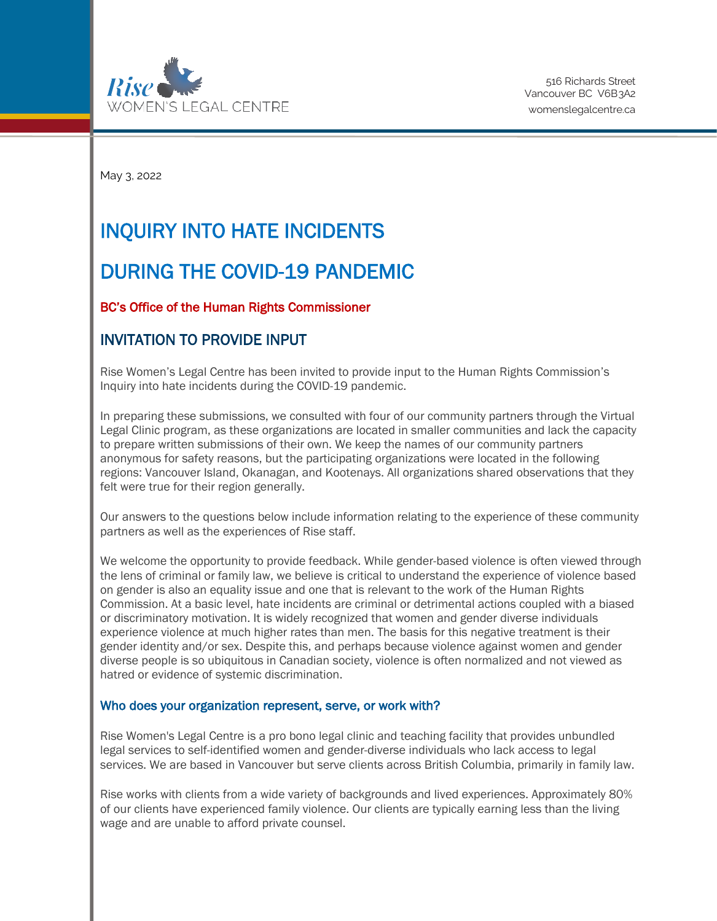

May 3, 2022

# INQUIRY INTO HATE INCIDENTS

# DURING THE COVID-19 PANDEMIC

## BC's Office of the Human Rights Commissioner

# INVITATION TO PROVIDE INPUT

Rise Women's Legal Centre has been invited to provide input to the Human Rights Commission's Inquiry into hate incidents during the COVID-19 pandemic.

In preparing these submissions, we consulted with four of our community partners through the Virtual Legal Clinic program, as these organizations are located in smaller communities and lack the capacity to prepare written submissions of their own. We keep the names of our community partners anonymous for safety reasons, but the participating organizations were located in the following regions: Vancouver Island, Okanagan, and Kootenays. All organizations shared observations that they felt were true for their region generally.

Our answers to the questions below include information relating to the experience of these community partners as well as the experiences of Rise staff.

We welcome the opportunity to provide feedback. While gender-based violence is often viewed through the lens of criminal or family law, we believe is critical to understand the experience of violence based on gender is also an equality issue and one that is relevant to the work of the Human Rights Commission. At a basic level, hate incidents are criminal or detrimental actions coupled with a biased or discriminatory motivation. It is widely recognized that women and gender diverse individuals experience violence at much higher rates than men. The basis for this negative treatment is their gender identity and/or sex. Despite this, and perhaps because violence against women and gender diverse people is so ubiquitous in Canadian society, violence is often normalized and not viewed as hatred or evidence of systemic discrimination.

#### Who does your organization represent, serve, or work with?

Rise Women's Legal Centre is a pro bono legal clinic and teaching facility that provides unbundled legal services to self-identified women and gender-diverse individuals who lack access to legal services. We are based in Vancouver but serve clients across British Columbia, primarily in family law.

Rise works with clients from a wide variety of backgrounds and lived experiences. Approximately 80% of our clients have experienced family violence. Our clients are typically earning less than the living wage and are unable to afford private counsel.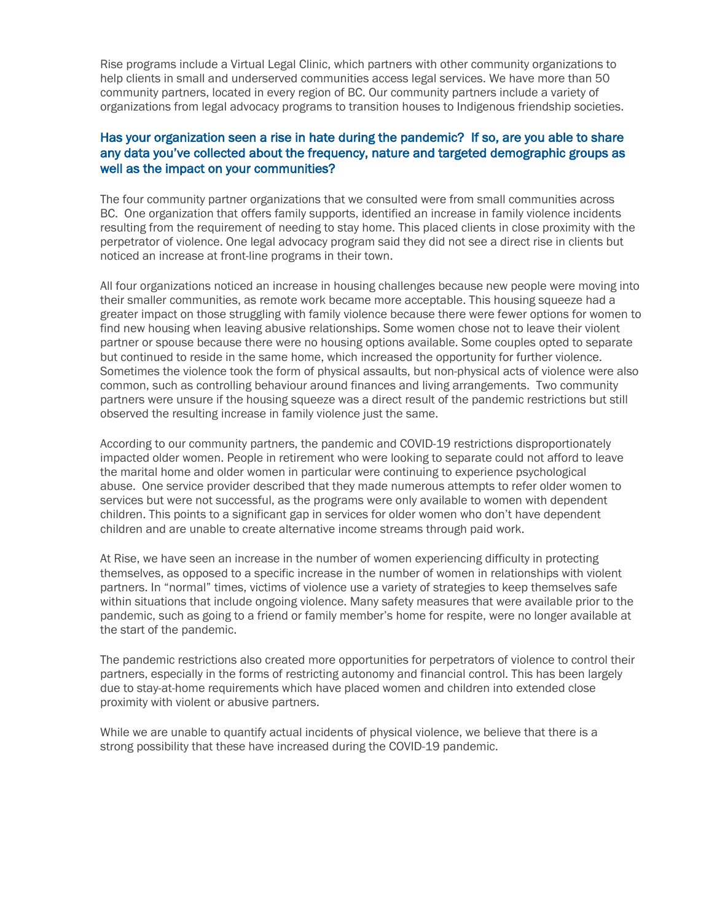Rise programs include a Virtual Legal Clinic, which partners with other community organizations to help clients in small and underserved communities access legal services. We have more than 50 community partners, located in every region of BC. Our community partners include a variety of organizations from legal advocacy programs to transition houses to Indigenous friendship societies.

### Has your organization seen a rise in hate during the pandemic? If so, are you able to share any data you've collected about the frequency, nature and targeted demographic groups as well as the impact on your communities?

The four community partner organizations that we consulted were from small communities across BC. One organization that offers family supports, identified an increase in family violence incidents resulting from the requirement of needing to stay home. This placed clients in close proximity with the perpetrator of violence. One legal advocacy program said they did not see a direct rise in clients but noticed an increase at front-line programs in their town.

All four organizations noticed an increase in housing challenges because new people were moving into their smaller communities, as remote work became more acceptable. This housing squeeze had a greater impact on those struggling with family violence because there were fewer options for women to find new housing when leaving abusive relationships. Some women chose not to leave their violent partner or spouse because there were no housing options available. Some couples opted to separate but continued to reside in the same home, which increased the opportunity for further violence. Sometimes the violence took the form of physical assaults, but non-physical acts of violence were also common, such as controlling behaviour around finances and living arrangements. Two community partners were unsure if the housing squeeze was a direct result of the pandemic restrictions but still observed the resulting increase in family violence just the same.

According to our community partners, the pandemic and COVID-19 restrictions disproportionately impacted older women. People in retirement who were looking to separate could not afford to leave the marital home and older women in particular were continuing to experience psychological abuse. One service provider described that they made numerous attempts to refer older women to services but were not successful, as the programs were only available to women with dependent children. This points to a significant gap in services for older women who don't have dependent children and are unable to create alternative income streams through paid work.

At Rise, we have seen an increase in the number of women experiencing difficulty in protecting themselves, as opposed to a specific increase in the number of women in relationships with violent partners. In "normal" times, victims of violence use a variety of strategies to keep themselves safe within situations that include ongoing violence. Many safety measures that were available prior to the pandemic, such as going to a friend or family member's home for respite, were no longer available at the start of the pandemic.

The pandemic restrictions also created more opportunities for perpetrators of violence to control their partners, especially in the forms of restricting autonomy and financial control. This has been largely due to stay-at-home requirements which have placed women and children into extended close proximity with violent or abusive partners.

While we are unable to quantify actual incidents of physical violence, we believe that there is a strong possibility that these have increased during the COVID-19 pandemic.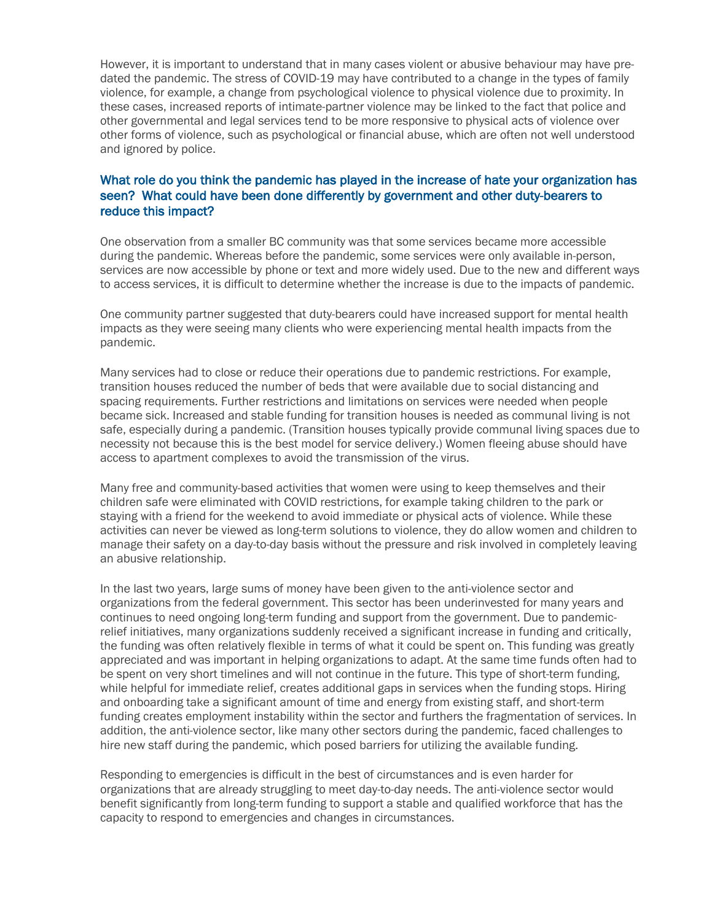However, it is important to understand that in many cases violent or abusive behaviour may have predated the pandemic. The stress of COVID-19 may have contributed to a change in the types of family violence, for example, a change from psychological violence to physical violence due to proximity. In these cases, increased reports of intimate-partner violence may be linked to the fact that police and other governmental and legal services tend to be more responsive to physical acts of violence over other forms of violence, such as psychological or financial abuse, which are often not well understood and ignored by police.

### What role do you think the pandemic has played in the increase of hate your organization has seen? What could have been done differently by government and other duty-bearers to reduce this impact?

One observation from a smaller BC community was that some services became more accessible during the pandemic. Whereas before the pandemic, some services were only available in-person, services are now accessible by phone or text and more widely used. Due to the new and different ways to access services, it is difficult to determine whether the increase is due to the impacts of pandemic.

One community partner suggested that duty-bearers could have increased support for mental health impacts as they were seeing many clients who were experiencing mental health impacts from the pandemic.

Many services had to close or reduce their operations due to pandemic restrictions. For example, transition houses reduced the number of beds that were available due to social distancing and spacing requirements. Further restrictions and limitations on services were needed when people became sick. Increased and stable funding for transition houses is needed as communal living is not safe, especially during a pandemic. (Transition houses typically provide communal living spaces due to necessity not because this is the best model for service delivery.) Women fleeing abuse should have access to apartment complexes to avoid the transmission of the virus.

Many free and community-based activities that women were using to keep themselves and their children safe were eliminated with COVID restrictions, for example taking children to the park or staying with a friend for the weekend to avoid immediate or physical acts of violence. While these activities can never be viewed as long-term solutions to violence, they do allow women and children to manage their safety on a day-to-day basis without the pressure and risk involved in completely leaving an abusive relationship.

In the last two years, large sums of money have been given to the anti-violence sector and organizations from the federal government. This sector has been underinvested for many years and continues to need ongoing long-term funding and support from the government. Due to pandemicrelief initiatives, many organizations suddenly received a significant increase in funding and critically, the funding was often relatively flexible in terms of what it could be spent on. This funding was greatly appreciated and was important in helping organizations to adapt. At the same time funds often had to be spent on very short timelines and will not continue in the future. This type of short-term funding, while helpful for immediate relief, creates additional gaps in services when the funding stops. Hiring and onboarding take a significant amount of time and energy from existing staff, and short-term funding creates employment instability within the sector and furthers the fragmentation of services. In addition, the anti-violence sector, like many other sectors during the pandemic, faced challenges to hire new staff during the pandemic, which posed barriers for utilizing the available funding.

Responding to emergencies is difficult in the best of circumstances and is even harder for organizations that are already struggling to meet day-to-day needs. The anti-violence sector would benefit significantly from long-term funding to support a stable and qualified workforce that has the capacity to respond to emergencies and changes in circumstances.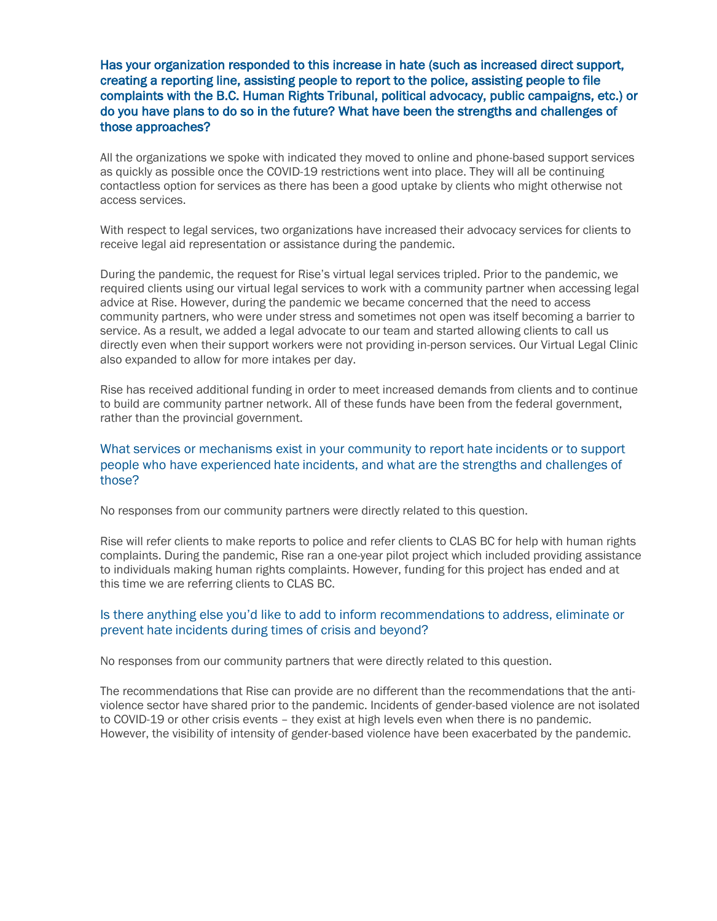Has your organization responded to this increase in hate (such as increased direct support, creating a reporting line, assisting people to report to the police, assisting people to file complaints with the B.C. Human Rights Tribunal, political advocacy, public campaigns, etc.) or do you have plans to do so in the future? What have been the strengths and challenges of those approaches?

All the organizations we spoke with indicated they moved to online and phone-based support services as quickly as possible once the COVID-19 restrictions went into place. They will all be continuing contactless option for services as there has been a good uptake by clients who might otherwise not access services.

With respect to legal services, two organizations have increased their advocacy services for clients to receive legal aid representation or assistance during the pandemic.

During the pandemic, the request for Rise's virtual legal services tripled. Prior to the pandemic, we required clients using our virtual legal services to work with a community partner when accessing legal advice at Rise. However, during the pandemic we became concerned that the need to access community partners, who were under stress and sometimes not open was itself becoming a barrier to service. As a result, we added a legal advocate to our team and started allowing clients to call us directly even when their support workers were not providing in-person services. Our Virtual Legal Clinic also expanded to allow for more intakes per day.

Rise has received additional funding in order to meet increased demands from clients and to continue to build are community partner network. All of these funds have been from the federal government, rather than the provincial government.

#### What services or mechanisms exist in your community to report hate incidents or to support people who have experienced hate incidents, and what are the strengths and challenges of those?

No responses from our community partners were directly related to this question.

Rise will refer clients to make reports to police and refer clients to CLAS BC for help with human rights complaints. During the pandemic, Rise ran a one-year pilot project which included providing assistance to individuals making human rights complaints. However, funding for this project has ended and at this time we are referring clients to CLAS BC.

#### Is there anything else you'd like to add to inform recommendations to address, eliminate or prevent hate incidents during times of crisis and beyond?

No responses from our community partners that were directly related to this question.

The recommendations that Rise can provide are no different than the recommendations that the antiviolence sector have shared prior to the pandemic. Incidents of gender-based violence are not isolated to COVID-19 or other crisis events – they exist at high levels even when there is no pandemic. However, the visibility of intensity of gender-based violence have been exacerbated by the pandemic.